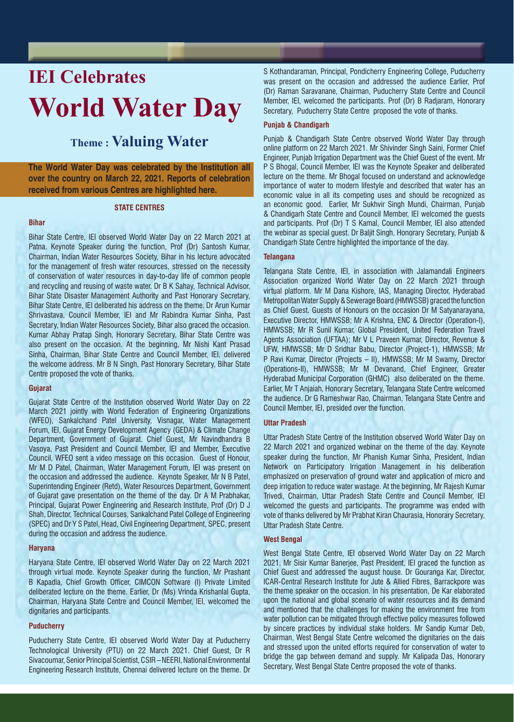# **IEI Celebrates World Water Day**

# **Theme : Valuing Water**

**The World Water Day was celebrated by the Institution all over the country on March 22, 2021. Reports of celebration received from various Centres are highlighted here.**

# **STATE CENTRES**

# **Bihar**

Bihar State Centre, IEI observed World Water Day on 22 March 2021 at Patna. Keynote Speaker during the function, Prof (Dr) Santosh Kumar, Chairman, Indian Water Resources Society, Bihar in his lecture advocated for the management of fresh water resources, stressed on the necessity of conservation of water resources in day-to-day life of common people and recycling and reusing of waste water. Dr B K Sahay, Technical Advisor, Bihar State Disaster Management Authority and Past Honorary Secretary, Bihar State Centre, IEI deliberated his address on the theme. Dr Arun Kumar Shrivastava, Council Member, IEI and Mr Rabindra Kumar Sinha, Past Secretary, Indian Water Resources Society, Bihar also graced the occasion. Kumar Abhay Pratap Singh, Honorary Secretary, Bihar State Centre was also present on the occasion. At the beginning, Mr Nishi Kant Prasad Sinha, Chairman, Bihar State Centre and Council Member, IEI, delivered the welcome address. Mr B N Singh, Past Honorary Secretary, Bihar State Centre proposed the vote of thanks.

# **Gujarat**

Gujarat State Centre of the Institution observed World Water Day on 22 March 2021 jointly with World Federation of Engineering Organizations (WFEO), Sankalchand Patel University, Visnagar, Water Management Forum, IEI, Gujarat Energy Development Agency (GEDA) & Climate Change Department, Government of Gujarat. Chief Guest, Mr Navindhandra B Vasoya, Past President and Council Member, IEI and Member, Executive Council, WFEO sent a video message on this occasion. Guest of Honour, Mr M D Patel, Chairman, Water Management Forum, IEI was present on the occasion and addressed the audience. Keynote Speaker, Mr N B Patel, Superintending Engineer (Retd), Water Resources Department, Government of Gujarat gave presentation on the theme of the day. Dr A M Prabhakar, Principal, Gujarat Power Engineering and Research Institute, Prof (Dr) D J Shah, Director, Technical Courses, Sankalchand Patel College of Engineering (SPEC) and Dr Y S Patel, Head, Civil Engineering Department, SPEC, present during the occasion and address the audience.

# **Haryana**

Haryana State Centre, IEI observed World Water Day on 22 March 2021 through virtual mode. Keynote Speaker during the function, Mr Prashant B Kapadia, Chief Growth Officer, CIMCON Software (I) Private Limited deliberated lecture on the theme. Earlier, Dr (Ms) Vrinda Krishanlal Gupta, Chairman, Haryana State Centre and Council Member, IEI, welcomed the dignitaries and participants.

# **Puducherry**

Puducherry State Centre, IEI observed World Water Day at Puducherry Technological University (PTU) on 22 March 2021. Chief Guest, Dr R Sivacoumar, Senior Principal Scientist, CSIR – NEERI, National Environmental Engineering Research Institute, Chennai delivered lecture on the theme. Dr S Kothandaraman, Principal, Pondicherry Engineering College, Puducherry was present on the occasion and addressed the audience Earlier, Prof (Dr) Raman Saravanane, Chairman, Puducherry State Centre and Council Member, IEI, welcomed the participants. Prof (Dr) B Radjaram, Honorary Secretary, Puducherry State Centre proposed the vote of thanks.

# **Punjab & Chandigarh**

Punjab & Chandigarh State Centre observed World Water Day through online platform on 22 March 2021. Mr Shivinder Singh Saini, Former Chief Engineer, Punjab Irrigation Department was the Chief Guest of the event. Mr P S Bhogal, Council Member, IEI was the Keynote Speaker and deliberated lecture on the theme. Mr Bhogal focused on understand and acknowledge importance of water to modern lifestyle and described that water has an economic value in all its competing uses and should be recognized as an economic good. Earlier, Mr Sukhvir Singh Mundi, Chairman, Punjab & Chandigarh State Centre and Council Member, IEI welcomed the guests and participants. Prof (Dr) T S Kamal, Council Member, IEI also attended the webinar as special guest. Dr Baljit Singh, Honorary Secretary, Punjab & Chandigarh State Centre highlighted the importance of the day.

# **Telangana**

Telangana State Centre, IEI, in association with Jalamandali Engineers Association organized World Water Day on 22 March 2021 through virtual platform. Mr M Dana Kishore, IAS, Managing Director, Hyderabad Metropolitan Water Supply & Sewerage Board (HMWSSB) graced the function as Chief Guest. Guests of Honours on the occasion Dr M Satyanarayana, Executive Director, HMWSSB; Mr A Krishna, ENC & Director (Operation-I), HMWSSB; Mr R Sunil Kumar, Global President, United Federation Travel Agents Association (UFTAA); Mr V L Praveen Kumar, Director, Revenue & UFW, HMWSSB; Mr D Sridhar Babu, Director (Project-1), HMWSSB; Mr P Ravi Kumar, Director (Projects – II), HMWSSB; Mr M Swamy, Director (Operations-II), HMWSSB; Mr M Devanand, Chief Engineer, Greater Hyderabad Municipal Corporation (GHMC) also deliberated on the theme. Earlier, Mr T Anjaiah, Honorary Secretary, Telangana State Centre welcomed the audience. Dr G Rameshwar Rao, Chairman, Telangana State Centre and Council Member, IEI, presided over the function.

# **Uttar Pradesh**

Uttar Pradesh State Centre of the Institution observed World Water Day on 22 March 2021 and organized webinar on the theme of the day. Keynote speaker during the function, Mr Phanish Kumar Sinha, President, Indian Network on Participatory Irrigation Management in his deliberation emphasized on preservation of ground water and application of micro and deep irrigation to reduce water wastage. At the beginning, Mr Rajesh Kumar Trivedi, Chairman, Uttar Pradesh State Centre and Council Member, IEI welcomed the guests and participants. The programme was ended with vote of thanks delivered by Mr Prabhat Kiran Chaurasia, Honorary Secretary, Uttar Pradesh State Centre.

# **West Bengal**

West Bengal State Centre, IEI observed World Water Day on 22 March 2021. Mr Sisir Kumar Banerjee, Past President, IEI graced the function as Chief Guest and addressed the august house. Dr Gouranga Kar, Director, ICAR-Central Research Institute for Jute & Allied Fibres, Barrackpore was the theme speaker on the occasion. In his presentation, De Kar elaborated upon the national and global scenario of water resources and its demand and mentioned that the challenges for making the environment free from water pollution can be mitigated through effective policy measures followed by sincere practices by individual stake holders. Mr Sandip Kumar Deb, Chairman, West Bengal State Centre welcomed the dignitaries on the dais and stressed upon the united efforts required for conservation of water to bridge the gap between demand and supply. Mr Kalipada Das, Honorary Secretary, West Bengal State Centre proposed the vote of thanks.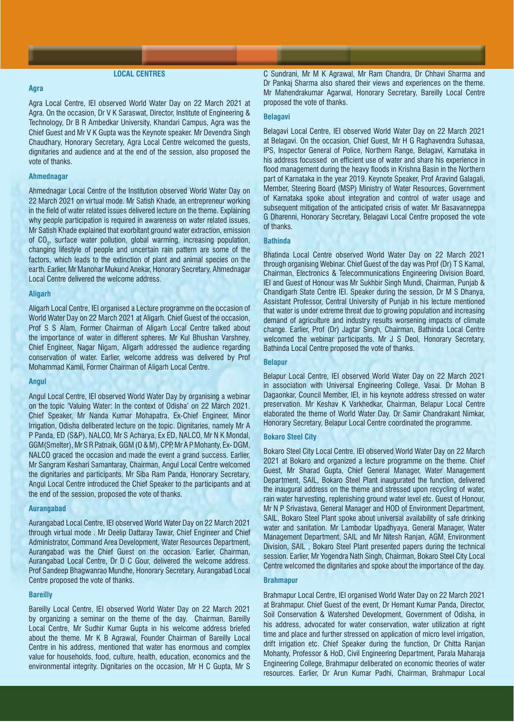# **LOCAL CENTRES**

# **Agra**

Agra Local Centre, IEI observed World Water Day on 22 March 2021 at Agra. On the occasion, Dr V K Saraswat, Director, Institute of Engineering & Technology, Dr B R Ambedkar University, Khandari Campus, Agra was the Chief Guest and Mr V K Gupta was the Keynote speaker. Mr Devendra Singh Chaudhary, Honorary Secretary, Agra Local Centre welcomed the guests, dignitaries and audience and at the end of the session, also proposed the vote of thanks.

# **Ahmednagar**

Ahmednagar Local Centre of the Institution observed World Water Day on 22 March 2021 on virtual mode. Mr Satish Khade, an entrepreneur working in the field of water related issues delivered lecture on the theme. Explaining why people participation is required in awareness on water related issues, Mr Satish Khade explained that exorbitant ground water extraction, emission of CO $_{2}$ , surface water pollution, global warming, increasing population, changing lifestyle of people and uncertain rain pattern are some of the factors, which leads to the extinction of plant and animal species on the earth. Earlier, Mr Manohar Mukund Anekar, Honorary Secretary, Ahmednagar Local Centre delivered the welcome address.

# **Aligarh**

Aligarh Local Centre, IEI organised a Lecture programme on the occasion of World Water Day on 22 March 2021 at Aligarh. Chief Guest of the occasion, Prof S S Alam, Former Chairman of Aligarh Local Centre talked about the importance of water in different spheres. Mr Kul Bhushan Varshney, Chief Engineer, Nagar Nigam, Aligarh addressed the audience regarding conservation of water. Earlier, welcome address was delivered by Prof Mohammad Kamil, Former Chairman of Aligarh Local Centre.

#### **Angul**

Angul Local Centre, IEI observed World Water Day by organising a webinar on the topic 'Valuing Water: In the context of Odisha' on 22 March 2021. Chief Speaker, Mr Nanda Kumar Mohapatra, Ex-Chief Engineer, Minor Irrigation, Odisha deliberated lecture on the topic. Dignitaries, namely Mr A P Panda, ED (S&P), NALCO, Mr S Acharya, Ex ED, NALCO, Mr N K Mondal, GGM(Smelter), Mr S R Patnaik, GGM (O & M), CPP, Mr A P Mohanty, Ex- DGM, NALCO graced the occasion and made the event a grand success. Earlier, Mr Sangram Keshari Samantaray, Chairman, Angul Local Centre welcomed the dignitaries and participants. Mr Siba Ram Panda, Honorary Secretary, Angul Local Centre introduced the Chief Speaker to the participants and at the end of the session, proposed the vote of thanks.

#### **Aurangabad**

Aurangabad Local Centre, IEI observed World Water Day on 22 March 2021 through virtual mode . Mr Deelip Dattaray Tawar, Chief Engineer and Chief Administrator, Command Area Development, Water Resources Department, Aurangabad was the Chief Guest on the occasion. Earlier, Chairman, Aurangabad Local Centre, Dr D C Gour, delivered the welcome address. Prof Sandeep Bhagwanrao Mundhe, Honorary Secretary, Aurangabad Local Centre proposed the vote of thanks.

#### **Bareilly**

Bareilly Local Centre, IEI observed World Water Day on 22 March 2021 by organizing a seminar on the theme of the day. Chairman, Bareilly Local Centre, Mr Sudhir Kumar Gupta in his welcome address briefed about the theme. Mr K B Agrawal, Founder Chairman of Bareilly Local Centre in his address, mentioned that water has enormous and complex value for households, food, culture, health, education, economics and the environmental integrity. Dignitaries on the occasion, Mr H C Gupta, Mr S

C Sundrani, Mr M K Agrawal, Mr Ram Chandra, Dr Chhavi Sharma and Dr Pankaj Sharma also shared their views and experiences on the theme. Mr Mahendrakumar Agarwal, Honorary Secretary, Bareilly Local Centre proposed the vote of thanks.

#### **Belagavi**

Belagavi Local Centre, IEI observed World Water Day on 22 March 2021 at Belagavi. On the occasion, Chief Guest, Mr H G Raghavendra Suhasaa, IPS, Inspector General of Police, Northern Range, Belagavi, Karnataka in his address focussed on efficient use of water and share his experience in flood management during the heavy floods in Krishna Basin in the Northern part of Karnataka in the year 2019. Keynote Speaker, Prof Aravind Galagali, Member, Steering Board (MSP) Ministry of Water Resources, Government of Karnataka spoke about integration and control of water usage and subsequent mitigation of the anticipated crisis of water. Mr Basavanneppa G Dharenni, Honorary Secretary, Belagavi Local Centre proposed the vote of thanks.

# **Bathinda**

Bhatinda Local Centre observed World Water Day on 22 March 2021 through organising Webinar. Chief Guest of the day was Prof (Dr) T S Kamal, Chairman, Electronics & Telecommunications Engineering Division Board, IEI and Guest of Honour was Mr Sukhbir Singh Mundi, Chairman, Punjab & Chandigarh State Centre IEI. Speaker during the session, Dr M S Dhanya, Assistant Professor, Central University of Punjab in his lecture mentioned that water is under extreme threat due to growing population and increasing demand of agriculture and industry results worsening impacts of climate change. Earlier, Prof (Dr) Jagtar Singh, Chairman, Bathinda Local Centre welcomed the webinar participants. Mr J S Deol, Honorary Secretary, Bathinda Local Centre proposed the vote of thanks.

#### **Belapur**

Belapur Local Centre, IEI observed World Water Day on 22 March 2021 in association with Universal Engineering College, Vasai. Dr Mohan B Dagaonkar, Council Member, IEI, in his keynote address stressed on water preservation. Mr Keshav K Varkhedkar, Chairman, Belapur Local Centre elaborated the theme of World Water Day. Dr Samir Chandrakant Nimkar, Honorary Secretary, Belapur Local Centre coordinated the programme.

# **Bokaro Steel City**

Bokaro Steel City Local Centre, IEI observed World Water Day on 22 March 2021 at Bokaro and organized a lecture programme on the theme. Chief Guest, Mr Sharad Gupta, Chief General Manager, Water Management Department, SAIL, Bokaro Steel Plant inaugurated the function, delivered the inaugural address on the theme and stressed upon recycling of water, rain water harvesting, replenishing ground water level etc. Guest of Honour, Mr N P Srivastava, General Manager and HOD of Environment Department, SAIL, Bokaro Steel Plant spoke about universal availability of safe drinking water and sanitation. Mr Lambodar Upadhyaya, General Manager, Water Management Department, SAIL and Mr Nitesh Ranjan, AGM, Environment Division, SAIL , Bokaro Steel Plant presented papers during the technical session. Earlier, Mr Yogendra Nath Singh, Chairman, Bokaro Steel City Local Centre welcomed the dignitaries and spoke about the importance of the day.

# **Brahmapur**

Brahmapur Local Centre, IEI organised World Water Day on 22 March 2021 at Brahmapur. Chief Guest of the event, Dr Hemant Kumar Panda, Director, Soil Conservation & Watershed Development, Government of Odisha, in his address, advocated for water conservation, water utilization at right time and place and further stressed on application of micro level irrigation, drift irrigation etc. Chief Speaker during the function, Dr Chitta Ranjan Mohanty, Professor & HoD, Civil Engineering Department, Parala Maharaja Engineering College, Brahmapur deliberated on economic theories of water resources. Earlier, Dr Arun Kumar Padhi, Chairman, Brahmapur Local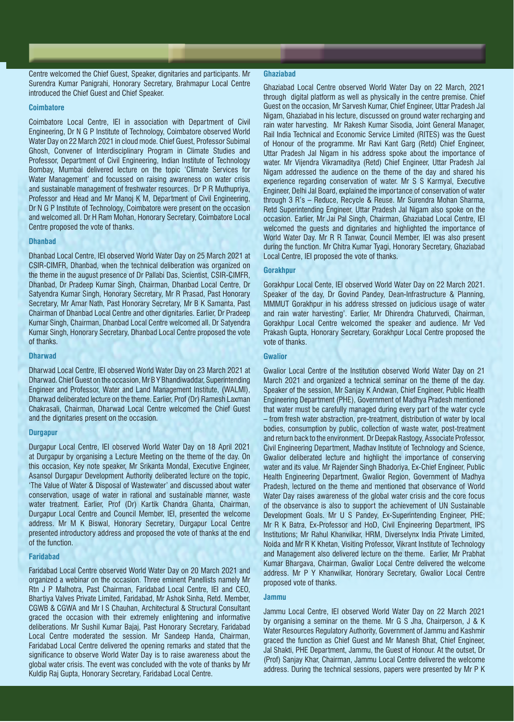Centre welcomed the Chief Guest, Speaker, dignitaries and participants. Mr Surendra Kumar Panigrahi, Honorary Secretary, Brahmapur Local Centre introduced the Chief Guest and Chief Speaker.

#### **Coimbatore**

Coimbatore Local Centre, IEI in association with Department of Civil Engineering, Dr N G P Institute of Technology, Coimbatore observed World Water Day on 22 March 2021 in cloud mode. Chief Guest, Professor Subimal Ghosh, Convener of Interdisciplinary Program in Climate Studies and Professor, Department of Civil Engineering, Indian Institute of Technology Bombay, Mumbai delivered lecture on the topic 'Climate Services for Water Management' and focussed on raising awareness on water crisis and sustainable management of freshwater resources. Dr P R Muthupriya, Professor and Head and Mr Manoj K M, Department of Civil Engineering, Dr N G P Institute of Technology, Coimbatore were present on the occasion and welcomed all. Dr H Ram Mohan, Honorary Secretary, Coimbatore Local Centre proposed the vote of thanks.

# **Dhanbad**

Dhanbad Local Centre, IEI observed World Water Day on 25 March 2021 at CSIR-CIMFR, Dhanbad, when the technical deliberation was organized on the theme in the august presence of Dr Pallabi Das, Scientist, CSIR-CIMFR, Dhanbad, Dr Pradeep Kumar Singh, Chairman, Dhanbad Local Centre, Dr Satyendra Kumar Singh, Honorary Secretary, Mr R Prasad, Past Honorary Secretary, Mr Amar Nath, Past Honorary Secretary, Mr B K Samanta, Past Chairman of Dhanbad Local Centre and other dignitaries. Earlier, Dr Pradeep Kumar Singh, Chairman, Dhanbad Local Centre welcomed all. Dr Satyendra Kumar Singh, Honorary Secretary, Dhanbad Local Centre proposed the vote of thanks.

#### **Dharwad**

Dharwad Local Centre, IEI observed World Water Day on 23 March 2021 at Dharwad. Chief Guest on the occasion, Mr B Y Bhandiwaddar, Superintending Engineer and Professor, Water and Land Management Institute, (WALMI), Dharwad deliberated lecture on the theme. Earlier, Prof (Dr) Ramesh Laxman Chakrasali, Chairman, Dharwad Local Centre welcomed the Chief Guest and the dignitaries present on the occasion.

#### **Durgapur**

Durgapur Local Centre, IEI observed World Water Day on 18 April 2021 at Durgapur by organising a Lecture Meeting on the theme of the day. On this occasion, Key note speaker, Mr Srikanta Mondal, Executive Engineer, Asansol Durgapur Development Authority deliberated lecture on the topic, 'The Value of Water & Disposal of Wastewater' and discussed about water conservation, usage of water in rational and sustainable manner, waste water treatment. Earlier, Prof (Dr) Kartik Chandra Ghanta, Chairman, Durgapur Local Centre and Council Member, IEI, presented the welcome address. Mr M K Biswal, Honorary Secretary, Durgapur Local Centre presented introductory address and proposed the vote of thanks at the end of the function.

#### **Faridabad**

Faridabad Local Centre observed World Water Day on 20 March 2021 and organized a webinar on the occasion. Three eminent Panellists namely Mr Rtn J P Malhotra, Past Chairman, Faridabad Local Centre, IEI and CEO, Bhartiya Valves Private Limited, Faridabad, Mr Ashok Sinha, Retd. Member, CGWB & CGWA and Mr I S Chauhan, Architectural & Structural Consultant graced the occasion with their extremely enlightening and informative deliberations. Mr Sushil Kumar Bajaj, Past Honorary Secretary, Faridabad Local Centre moderated the session. Mr Sandeep Handa, Chairman, Faridabad Local Centre delivered the opening remarks and stated that the significance to observe World Water Day is to raise awareness about the global water crisis. The event was concluded with the vote of thanks by Mr Kuldip Raj Gupta, Honorary Secretary, Faridabad Local Centre.

#### **Ghaziabad**

Ghaziabad Local Centre observed World Water Day on 22 March, 2021 through digital platform as well as physically in the centre premise. Chief Guest on the occasion, Mr Sarvesh Kumar, Chief Engineer, Uttar Pradesh Jal Nigam, Ghaziabad in his lecture, discussed on ground water recharging and rain water harvesting. Mr Rakesh Kumar Sisodia, Joint General Manager, Rail India Technical and Economic Service Limited (RITES) was the Guest of Honour of the programme. Mr Ravi Kant Garg (Retd) Chief Engineer, Uttar Pradesh Jal Nigam in his address spoke about the importance of water. Mr Vijendra Vikramaditya (Retd) Chief Engineer, Uttar Pradesh Jal Nigam addressed the audience on the theme of the day and shared his experience regarding conservation of water. Mr S S Karmyal, Executive Engineer, Delhi Jal Board, explained the importance of conservation of water through 3 R's – Reduce, Recycle & Reuse. Mr Surendra Mohan Sharma, Retd Superintending Engineer, Uttar Pradesh Jal Nigam also spoke on the occasion. Earlier, Mr Jai Pal Singh, Chairman, Ghaziabad Local Centre, IEI welcomed the guests and dignitaries and highlighted the importance of World Water Day. Mr R R Tanwar, Council Member, IEI was also present during the function. Mr Chitra Kumar Tyagi, Honorary Secretary, Ghaziabad Local Centre, IEI proposed the vote of thanks.

#### **Gorakhpur**

Gorakhpur Local Cente, IEI observed World Water Day on 22 March 2021. Speaker of the day, Dr Govind Pandey, Dean-Infrastructure & Planning, MMMUT Gorakhpur in his address stressed on judicious usage of water and rain water harvesting'. Earlier, Mr Dhirendra Chaturvedi, Chairman, Gorakhpur Local Centre welcomed the speaker and audience. Mr Ved Prakash Gupta, Honorary Secretary, Gorakhpur Local Centre proposed the vote of thanks.

#### **Gwalior**

Gwalior Local Centre of the Institution observed World Water Day on 21 March 2021 and organized a technical seminar on the theme of the day. Speaker of the session, Mr Sanjay K Andwan, Chief Engineer, Public Health Engineering Department (PHE), Government of Madhya Pradesh mentioned that water must be carefully managed during every part of the water cycle – from fresh water abstraction, pre-treatment, distribution of water by local bodies, consumption by public, collection of waste water, post-treatment and return back to the environment. Dr Deepak Rastogy, Associate Professor, Civil Engineering Department, Madhav Institute of Technology and Science, Gwalior deliberated lecture and highlight the importance of conserving water and its value. Mr Rajender Singh Bhadoriya, Ex-Chief Engineer, Public Health Engineering Department, Gwalior Region, Government of Madhya Pradesh, lectured on the theme and mentioned that observance of World Water Day raises awareness of the global water crisis and the core focus of the observance is also to support the achievement of UN Sustainable Development Goals. Mr U S Pandey, Ex-Superintending Engineer, PHE; Mr R K Batra, Ex-Professor and HoD, Civil Engineering Department, IPS Institutions; Mr Rahul Khanvilkar, HRM, Diverselynx India Private Limited, Noida and Mr R K Khetan, Visiting Professor, Vikrant Institute of Technology and Management also delivered lecture on the theme. Earlier, Mr Prabhat Kumar Bhargava, Chairman, Gwalior Local Centre delivered the welcome address. Mr P Y Khanwilkar, Honorary Secretary, Gwalior Local Centre proposed vote of thanks.

#### **Jammu**

Jammu Local Centre, IEI observed World Water Day on 22 March 2021 by organising a seminar on the theme. Mr G S Jha, Chairperson, J & K Water Resources Regulatory Authority, Government of Jammu and Kashmir graced the function as Chief Guest and Mr Manesh Bhat, Chief Engineer, Jal Shakti, PHE Department, Jammu, the Guest of Honour. At the outset, Dr (Prof) Sanjay Khar, Chairman, Jammu Local Centre delivered the welcome address. During the technical sessions, papers were presented by Mr P K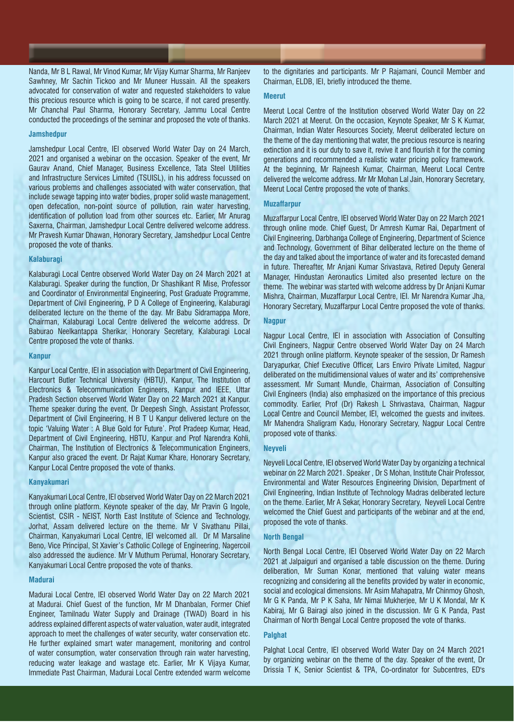Nanda, Mr B L Rawal, Mr Vinod Kumar, Mr Vijay Kumar Sharma, Mr Ranjeev Sawhney, Mr Sachin Tickoo and Mr Muneer Hussain. All the speakers advocated for conservation of water and requested stakeholders to value this precious resource which is going to be scarce, if not cared presently. Mr Chanchal Paul Sharma, Honorary Secretary, Jammu Local Centre conducted the proceedings of the seminar and proposed the vote of thanks.

#### **Jamshedpur**

Jamshedpur Local Centre, IEI observed World Water Day on 24 March, 2021 and organised a webinar on the occasion. Speaker of the event, Mr Gaurav Anand, Chief Manager, Business Excellence, Tata Steel Utilities and Infrastructure Services Limited (TSUISL), in his address focussed on various problems and challenges associated with water conservation, that include sewage tapping into water bodies, proper solid waste management, open defecation, non-point source of pollution, rain water harvesting, identification of pollution load from other sources etc. Earlier, Mr Anurag Saxerna, Chairman, Jamshedpur Local Centre delivered welcome address. Mr Pravesh Kumar Dhawan, Honorary Secretary, Jamshedpur Local Centre proposed the vote of thanks.

# **Kalaburagi**

Kalaburagi Local Centre observed World Water Day on 24 March 2021 at Kalaburagi. Speaker during the function, Dr Shashikant R Mise, Professor and Coordinator of Environmental Engineering, Post Graduate Programme, Department of Civil Engineering, P D A College of Engineering, Kalaburagi deliberated lecture on the theme of the day. Mr Babu Sidramappa More, Chairman, Kalaburagi Local Centre delivered the welcome address. Dr Baburao Neelkantappa Sherikar, Honorary Secretary, Kalaburagi Local Centre proposed the vote of thanks.

#### **Kanpur**

Kanpur Local Centre, IEI in association with Department of Civil Engineering, Harcourt Butler Technical University (HBTU), Kanpur, The Institution of Electronics & Telecommunication Engineers, Kanpur and IEEE, Uttar Pradesh Section observed World Water Day on 22 March 2021 at Kanpur. Theme speaker during the event, Dr Deepesh Singh, Assistant Professor, Department of Civil Engineering, H B T U Kanpur delivered lecture on the topic 'Valuing Water : A Blue Gold for Future'. Prof Pradeep Kumar, Head, Department of Civil Engineering, HBTU, Kanpur and Prof Narendra Kohli, Chairman, The Institution of Electronics & Telecommunication Engineers, Kanpur also graced the event. Dr Rajat Kumar Khare, Honorary Secretary, Kanpur Local Centre proposed the vote of thanks.

# **Kanyakumari**

Kanyakumari Local Centre, IEI observed World Water Day on 22 March 2021 through online platform. Keynote speaker of the day, Mr Pravin G Ingole, Scientist, CSIR - NEIST, North East Institute of Science and Technology, Jorhat, Assam delivered lecture on the theme. Mr V Sivathanu Pillai, Chairman, Kanyakumari Local Centre, IEI welcomed all. Dr M Marsaline Beno, Vice Principal, St Xavier's Catholic College of Engineering, Nagercoil also addressed the audience. Mr V Muthum Perumal, Honorary Secretary, Kanyakumari Local Centre proposed the vote of thanks.

#### **Madurai**

Madurai Local Centre, IEI observed World Water Day on 22 March 2021 at Madurai. Chief Guest of the function, Mr M Dhanbalan, Former Chief Engineer, Tamilnadu Water Supply and Drainage (TWAD) Board in his address explained different aspects of water valuation, water audit, integrated approach to meet the challenges of water security, water conservation etc. He further explained smart water management, monitoring and control of water consumption, water conservation through rain water harvesting, reducing water leakage and wastage etc. Earlier, Mr K Vijaya Kumar, Immediate Past Chairman, Madurai Local Centre extended warm welcome

to the dignitaries and participants. Mr P Rajamani, Council Member and Chairman, ELDB, IEI, briefly introduced the theme.

#### **Meerut**

Meerut Local Centre of the Institution observed World Water Day on 22 March 2021 at Meerut. On the occasion, Keynote Speaker, Mr S K Kumar, Chairman, Indian Water Resources Society, Meerut deliberated lecture on the theme of the day mentioning that water, the precious resource is nearing extinction and it is our duty to save it, revive it and flourish it for the coming generations and recommended a realistic water pricing policy framework. At the beginning, Mr Rajneesh Kumar, Chairman, Meerut Local Centre delivered the welcome address. Mr Mr Mohan Lal Jain, Honorary Secretary, Meerut Local Centre proposed the vote of thanks.

#### **Muzaffarpur**

Muzaffarpur Local Centre, IEI observed World Water Day on 22 March 2021 through online mode. Chief Guest, Dr Amresh Kumar Rai, Department of Civil Engineering, Darbhanga College of Engineering, Department of Science and Technology, Government of Bihar deliberated lecture on the theme of the day and talked about the importance of water and its forecasted demand in future. Thereafter, Mr Anjani Kumar Srivastava, Retired Deputy General Manager, Hindustan Aeronautics Limited also presented lecture on the theme. The webinar was started with welcome address by Dr Anjani Kumar Mishra, Chairman, Muzaffarpur Local Centre, IEI. Mr Narendra Kumar Jha, Honorary Secretary, Muzaffarpur Local Centre proposed the vote of thanks.

# **Nagpur**

Nagpur Local Centre, IEI in association with Association of Consulting Civil Engineers, Nagpur Centre observed World Water Day on 24 March 2021 through online platform. Keynote speaker of the session, Dr Ramesh Daryapurkar, Chief Executive Officer, Lars Enviro Private Limited, Nagpur deliberated on the multidimensional values of water and its' comprehensive assessment. Mr Sumant Mundle, Chairman, Association of Consulting Civil Engineers (India) also emphasized on the importance of this precious commodity. Earlier, Prof (Dr) Rakesh L Shrivastava, Chairman, Nagpur Local Centre and Council Member, IEI, welcomed the guests and invitees. Mr Mahendra Shaligram Kadu, Honorary Secretary, Nagpur Local Centre proposed vote of thanks.

# **Neyveli**

Neyveli Local Centre, IEI observed World Water Day by organizing a technical webinar on 22 March 2021. Speaker , Dr S Mohan, Institute Chair Professor, Environmental and Water Resources Engineering Division, Department of Civil Engineering, Indian Institute of Technology Madras deliberated lecture on the theme. Earlier, Mr A Sekar, Honorary Secretary, Neyveli Local Centre welcomed the Chief Guest and participants of the webinar and at the end, proposed the vote of thanks.

# **North Bengal**

North Bengal Local Centre, IEI Observed World Water Day on 22 March 2021 at Jalpaiguri and organised a table discussion on the theme. During deliberation, Mr Suman Konar, mentioned that valuing water means recognizing and considering all the benefits provided by water in economic, social and ecological dimensions. Mr Asim Mahapatra, Mr Chinmoy Ghosh, Mr G K Panda, Mr P K Saha, Mr Nimai Mukherjee, Mr U K Mondal, Mr K Kabiraj, Mr G Bairagi also joined in the discussion. Mr G K Panda, Past Chairman of North Bengal Local Centre proposed the vote of thanks.

# **Palghat**

Palghat Local Centre, IEI observed World Water Day on 24 March 2021 by organizing webinar on the theme of the day. Speaker of the event, Dr Drissia T K, Senior Scientist & TPA, Co-ordinator for Subcentres, ED's